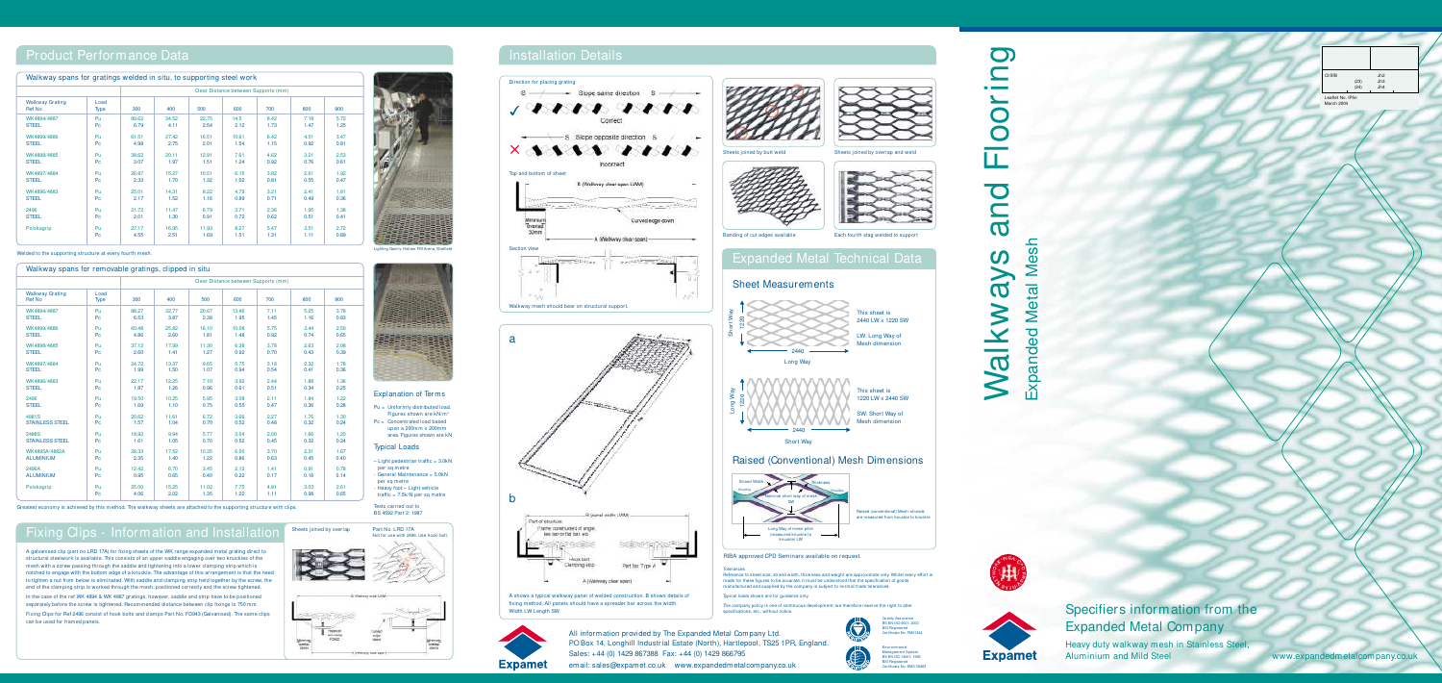Specifiers information from the Expanded Metal Company

Heavy duty walkway mesh in Stainless Steel, Aluminium and Mild Steel www.expandedmetalcompany.co.uk

## Walkways and Flooring  $\bigcirc$ and Expanded Metal Mesh Mesh  $\Omega$  $\blacktriangleright$ **Metal**  $\overline{\mathbf{C}}$ alkw Expanded

N





 $C\ell$ SfB Jh2 (23) Jh3 (24) Jh4

Leaflet No. IP5n

In the case of the ref WK 4894 & WK 4887 gratings, however, saddle and strip have to be positioned separately before the screw is tightened. Recommended distance between clip fixings is 750 mm. Fixing Clips for Ref 2496 consist of hook bolts and clamps Part No. FD943 (Galvanised). The same clips can be used for framed panels.

| Walkway spans for gratings welded in situ, to supporting steel work |      |  |  |                                      |  | Direction for placing gratin                           |                            |
|---------------------------------------------------------------------|------|--|--|--------------------------------------|--|--------------------------------------------------------|----------------------------|
|                                                                     |      |  |  | Clear Distance between Supports (mm) |  | $\sim$ Slope same direction $S \rightarrow$            |                            |
|                                                                     | Type |  |  |                                      |  |                                                        |                            |
| WK4894/4887                                                         |      |  |  |                                      |  |                                                        |                            |
| WK4899/4886<br>STEEL                                                |      |  |  |                                      |  | -S. Slope opposite direction                           |                            |
| WK4898/4885                                                         |      |  |  |                                      |  | $\times$ and a set of the set of $\sim$<br>Incorrect   | Sheets joined by butt weld |
|                                                                     |      |  |  |                                      |  | Top and bottom of sheet                                |                            |
|                                                                     |      |  |  |                                      |  |                                                        |                            |
| 2496<br><b>STEEL</b>                                                |      |  |  |                                      |  | <b>The - ANDREW - - - STRING - - ANDREW</b>            |                            |
| Polskagrip                                                          |      |  |  |                                      |  | the contract that is a contract of the contract of the |                            |

 $-$  Light pedestrian traffic =  $3.0kN$ per sq metre - General Maintenance = 5.0kN

per sa metre - Heavy foot – Light vehicle traffic = 7.5k/N per sq metre

A galvanised clip (part no LRD 17A) for fixing sheets of the WK range expanded metal grating direct to structural steelwork is available. This consists of an upper saddle engaging over two knuckles of the mesh with a screw passing through the saddle and tightening into a lower clamping strip which is notched to engage with the bottom edge of a knuckle. The advantage of this arrangement is that the need to tighten a nut from below is eliminated. With saddle and clamping strip held together by the screw, the end of the clamping strip is worked through the mesh, positioned correctly and the screw tightened.

## Product Performance Data

Welded to the supporting structure at every fourth mesh.

Greatest economy is achieved by this method. The walkway sheets are attached to the supporting structure with clips.

### Explanation of Terms

Pu = Uniformly distributed load. Figures shown are  $kN/m^2$ Pc = Concentrated load based upon a 200mm x 200mm area. Figures shown are kN

#### Typical Loads

Tests carried out to BS 4592 Part 2: 1987

> **plerances** Reference to sheet size, strand width, thickness and weight are approximate only. Whilst every effort is<br>made for these figures to be accurate, it must be understood that the specification of goods manufactured and supplied by the company is subject to normal trade tolerances.

> > R **EGISTER Environmental** Management System BS EN ISO 14001: 1996 BSI Registered Certificate No. EMS 39483

| Walkway spans for removable gratings, clipped in situ |                |       |                                      |       |       |      |      |      |  |  |  |
|-------------------------------------------------------|----------------|-------|--------------------------------------|-------|-------|------|------|------|--|--|--|
|                                                       |                |       | Clear Distance between Supports (mm) |       |       |      |      |      |  |  |  |
| <b>Walkway Grating</b><br><b>Ref No</b>               | Load<br>Type   | 300   | 400                                  | 500   | 600   | 700  | 800  | 900  |  |  |  |
| WK4894/4887                                           | Pu             | 88.27 | 32.77                                | 20.67 | 13.46 | 7.11 | 5.25 | 3.78 |  |  |  |
| <b>STEEL</b>                                          | Pc             | 6.53  | 3.87                                 | 2.38  | 1.95  | 1.45 | 1.16 | 0.83 |  |  |  |
| WK4899/4886                                           | Pu             | 60.48 | 25.82                                | 16.10 | 10.08 | 5.75 | 3.44 | 2.50 |  |  |  |
| <b>STEEL</b>                                          | Pc             | 4.86  | 2.60                                 | 1.81  | 1.48  | 0.92 | 0.74 | 0.65 |  |  |  |
| WK4898/4885                                           | Pu             | 37.12 | 17.99                                | 11.30 | 6.38  | 3.78 | 2.63 | 2.08 |  |  |  |
| <b>STEEL</b>                                          | Pc             | 2.60  | 1.41                                 | 1.27  | 0.92  | 0.70 | 0.43 | 0.39 |  |  |  |
| WK4897/4884                                           | Pu             | 24.72 | 13.37                                | 9.65  | 5.75  | 3.18 | 2.32 | 1.78 |  |  |  |
| <b>STEEL</b>                                          | Pc.            | 1.99  | 1.50                                 | 1.07  | 0.94  | 0.54 | 0.41 | 0.36 |  |  |  |
| WK4896/4883                                           | Pu             | 22.17 | 12.25                                | 7.10  | 3.92  | 2.44 | 1.88 | 1.36 |  |  |  |
| <b>STEEL</b>                                          | Pc             | 1.87  | 1.26                                 | 0.96  | 0.61  | 0.51 | 0.34 | 0.25 |  |  |  |
| 2496                                                  | Pu             | 19.50 | 10.25                                | 5.95  | 3.08  | 2.11 | 1.84 | 1.22 |  |  |  |
| <b>STEEL</b>                                          | Pc.            | 1.69  | 1.10                                 | 0.75  | 0.55  | 0.47 | 0.36 | 0.28 |  |  |  |
| 4881S                                                 | Pu             | 20.62 | 11.61                                | 6.72  | 3.66  | 2.27 | 1.76 | 1.30 |  |  |  |
| <b>STAINLESS STEEL</b>                                | Pc             | 1.57  | 1.04                                 | 0.70  | 0.52  | 0.48 | 0.32 | 0.24 |  |  |  |
| 2488S                                                 | Pu             | 18.92 | 9.94                                 | 5.77  | 3.04  | 2.00 | 1.66 | 1.20 |  |  |  |
| <b>STAINLESS STEEL</b>                                | Pc             | 1.61  | 1.05                                 | 0.70  | 0.52  | 0.45 | 0.32 | 0.24 |  |  |  |
| WK4895A/4882A                                         | Pu             | 28.33 | 17.52                                | 10.35 | 6.00  | 3.70 | 2.31 | 1.67 |  |  |  |
| <b>ALUMINIUM</b>                                      | Pc             | 2.35  | 1.40                                 | 1.22  | 0.86  | 0.63 | 0.45 | 0.40 |  |  |  |
| 2496A                                                 | Pu             | 12.42 | 6.70                                 | 3.45  | 2.12  | 1.41 | 0.91 | 0.78 |  |  |  |
| <b>ALUMINIUM</b>                                      | Pc             | 0.95  | 0.65                                 | 0.40  | 0.22  | 0.17 | 0.16 | 0.14 |  |  |  |
| Polskagrip                                            | Pu             | 25.00 | 15.25                                | 11.02 | 7.75  | 4.81 | 3.03 | 2.61 |  |  |  |
|                                                       | P <sub>C</sub> | 4.06  | 2.02                                 | 1.35  | 1.22  | 1.11 | 0.98 | 0.65 |  |  |  |

## Fixing Clips - Information and Installation





Banding of cut edges available Each fourth stag welded to support

All information provided by The Expanded Metal Company Ltd. PO Box 14, Longhill Industrial Estate (North), Hartlepool, TS25 1PR, England Sales: +44 (0) 1429 867388 Fax: +44 (0) 1429 866795

### Sheet Measurements



This sheet is 1220 LW x 2440 SW SW: Short Way of

Short Way

## Raised (Conventional) Mesh Dimensions



## Installation Details

## Expanded Metal Technical Data

A shows a typical walkway panel of welded construction. B shows details of fixing method. All panels should have a spreader bar across the width. Width LW Length SW.



Typical loads shown are for guidance only.

The company policy is one of continuous development: we therefore reserve the right to alter specifications, etc., without notice.

RIBA approved CPD Seminars available on request.





**Burne**